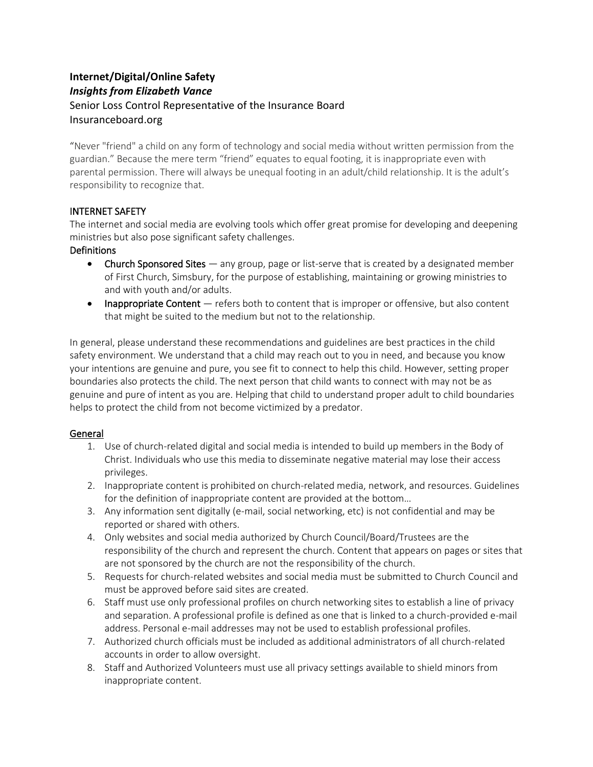# **Internet/Digital/Online Safety** *Insights from Elizabeth Vance* Senior Loss Control Representative of the Insurance Board Insuranceboard.org

"Never "friend" a child on any form of technology and social media without written permission from the guardian." Because the mere term "friend" equates to equal footing, it is inappropriate even with parental permission. There will always be unequal footing in an adult/child relationship. It is the adult's responsibility to recognize that.

## INTERNET SAFETY

The internet and social media are evolving tools which offer great promise for developing and deepening ministries but also pose significant safety challenges.

## **Definitions**

- Church Sponsored Sites any group, page or list-serve that is created by a designated member of First Church, Simsbury, for the purpose of establishing, maintaining or growing ministries to and with youth and/or adults.
- Inappropriate Content refers both to content that is improper or offensive, but also content that might be suited to the medium but not to the relationship.

In general, please understand these recommendations and guidelines are best practices in the child safety environment. We understand that a child may reach out to you in need, and because you know your intentions are genuine and pure, you see fit to connect to help this child. However, setting proper boundaries also protects the child. The next person that child wants to connect with may not be as genuine and pure of intent as you are. Helping that child to understand proper adult to child boundaries helps to protect the child from not become victimized by a predator.

## General

- 1. Use of church-related digital and social media is intended to build up members in the Body of Christ. Individuals who use this media to disseminate negative material may lose their access privileges.
- 2. Inappropriate content is prohibited on church-related media, network, and resources. Guidelines for the definition of inappropriate content are provided at the bottom…
- 3. Any information sent digitally (e-mail, social networking, etc) is not confidential and may be reported or shared with others.
- 4. Only websites and social media authorized by Church Council/Board/Trustees are the responsibility of the church and represent the church. Content that appears on pages or sites that are not sponsored by the church are not the responsibility of the church.
- 5. Requests for church-related websites and social media must be submitted to Church Council and must be approved before said sites are created.
- 6. Staff must use only professional profiles on church networking sites to establish a line of privacy and separation. A professional profile is defined as one that is linked to a church-provided e-mail address. Personal e-mail addresses may not be used to establish professional profiles.
- 7. Authorized church officials must be included as additional administrators of all church-related accounts in order to allow oversight.
- 8. Staff and Authorized Volunteers must use all privacy settings available to shield minors from inappropriate content.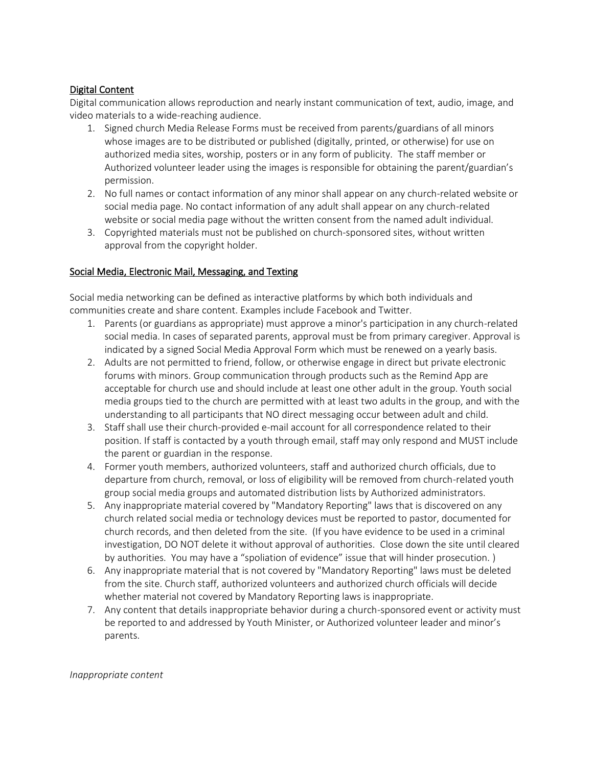#### Digital Content

Digital communication allows reproduction and nearly instant communication of text, audio, image, and video materials to a wide-reaching audience.

- 1. Signed church Media Release Forms must be received from parents/guardians of all minors whose images are to be distributed or published (digitally, printed, or otherwise) for use on authorized media sites, worship, posters or in any form of publicity. The staff member or Authorized volunteer leader using the images is responsible for obtaining the parent/guardian's permission.
- 2. No full names or contact information of any minor shall appear on any church-related website or social media page. No contact information of any adult shall appear on any church-related website or social media page without the written consent from the named adult individual.
- 3. Copyrighted materials must not be published on church-sponsored sites, without written approval from the copyright holder.

#### Social Media, Electronic Mail, Messaging, and Texting

Social media networking can be defined as interactive platforms by which both individuals and communities create and share content. Examples include Facebook and Twitter.

- 1. Parents (or guardians as appropriate) must approve a minor's participation in any church-related social media. In cases of separated parents, approval must be from primary caregiver. Approval is indicated by a signed Social Media Approval Form which must be renewed on a yearly basis.
- 2. Adults are not permitted to friend, follow, or otherwise engage in direct but private electronic forums with minors. Group communication through products such as the Remind App are acceptable for church use and should include at least one other adult in the group. Youth social media groups tied to the church are permitted with at least two adults in the group, and with the understanding to all participants that NO direct messaging occur between adult and child.
- 3. Staff shall use their church-provided e-mail account for all correspondence related to their position. If staff is contacted by a youth through email, staff may only respond and MUST include the parent or guardian in the response.
- 4. Former youth members, authorized volunteers, staff and authorized church officials, due to departure from church, removal, or loss of eligibility will be removed from church-related youth group social media groups and automated distribution lists by Authorized administrators.
- 5. Any inappropriate material covered by "Mandatory Reporting" laws that is discovered on any church related social media or technology devices must be reported to pastor, documented for church records, and then deleted from the site. (If you have evidence to be used in a criminal investigation, DO NOT delete it without approval of authorities. Close down the site until cleared by authorities. You may have a "spoliation of evidence" issue that will hinder prosecution. )
- 6. Any inappropriate material that is not covered by "Mandatory Reporting" laws must be deleted from the site. Church staff, authorized volunteers and authorized church officials will decide whether material not covered by Mandatory Reporting laws is inappropriate.
- 7. Any content that details inappropriate behavior during a church-sponsored event or activity must be reported to and addressed by Youth Minister, or Authorized volunteer leader and minor's parents.

*Inappropriate content*